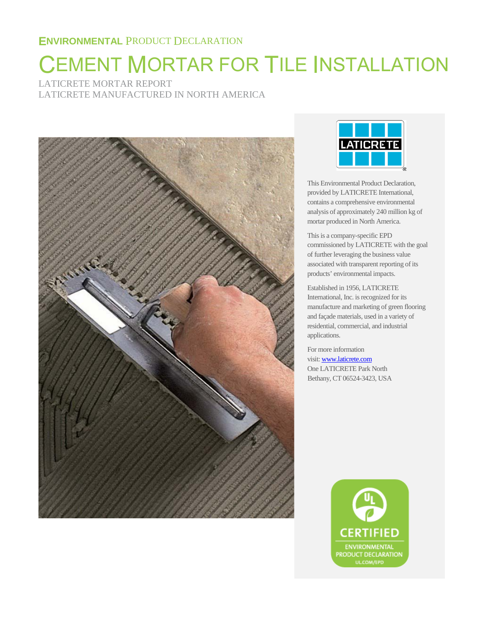# CEMENT MORTAR FOR TILE INSTALLATION

LATICRETE MORTAR REPORT LATICRETE MANUFACTURED IN NORTH AMERICA





This Environmental Product Declaration, provided by LATICRETE International, contains a comprehensive environmental analysis of approximately 240 million kg of mortar produced in North America.

This is a company-specific EPD commissioned by LATICRETE with the goal of further leveraging the business value associated with transparent reporting of its products' environmental impacts.

Established in 1956, LATICRETE International, Inc. is recognized for its manufacture and marketing of green flooring and façade materials, used in a variety of residential, commercial, and industrial applications.

For more information visit[: www.laticrete.com](http://www.laticrete.com/) One LATICRETE Park North Bethany, CT 06524-3423, USA

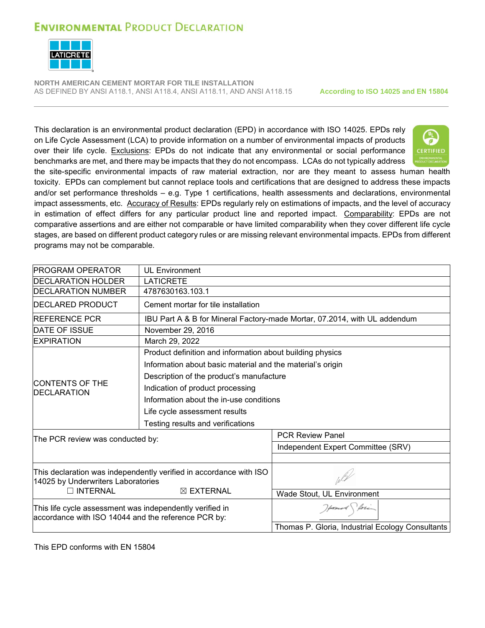

**NORTH AMERICAN CEMENT MORTAR FOR TILE INSTALLATION** AS DEFINED BY ANSI A118.1, ANSI A118.4, ANSI A118.11, AND ANSI A118.15 **According to ISO 14025 and EN 15804** 

This declaration is an environmental product declaration (EPD) in accordance with ISO 14025. EPDs rely on Life Cycle Assessment (LCA) to provide information on a number of environmental impacts of products over their life cycle. Exclusions: EPDs do not indicate that any environmental or social performance benchmarks are met, and there may be impacts that they do not encompass. LCAs do not typically address



the site-specific environmental impacts of raw material extraction, nor are they meant to assess human health toxicity. EPDs can complement but cannot replace tools and certifications that are designed to address these impacts and/or set performance thresholds – e.g. Type 1 certifications, health assessments and declarations, environmental impact assessments, etc. Accuracy of Results: EPDs regularly rely on estimations of impacts, and the level of accuracy in estimation of effect differs for any particular product line and reported impact. Comparability: EPDs are not comparative assertions and are either not comparable or have limited comparability when they cover different life cycle stages, are based on different product category rules or are missing relevant environmental impacts. EPDs from different programs may not be comparable.

| <b>PROGRAM OPERATOR</b>                                                                                                                             | <b>UL Environment</b>                                                                                                                                                                                                                                                                                                    |                                                                           |  |  |  |  |  |
|-----------------------------------------------------------------------------------------------------------------------------------------------------|--------------------------------------------------------------------------------------------------------------------------------------------------------------------------------------------------------------------------------------------------------------------------------------------------------------------------|---------------------------------------------------------------------------|--|--|--|--|--|
| <b>DECLARATION HOLDER</b>                                                                                                                           | <b>LATICRETE</b>                                                                                                                                                                                                                                                                                                         |                                                                           |  |  |  |  |  |
| <b>DECLARATION NUMBER</b>                                                                                                                           | 4787630163.103.1                                                                                                                                                                                                                                                                                                         |                                                                           |  |  |  |  |  |
| <b>DECLARED PRODUCT</b>                                                                                                                             | Cement mortar for tile installation                                                                                                                                                                                                                                                                                      |                                                                           |  |  |  |  |  |
| <b>REFERENCE PCR</b>                                                                                                                                |                                                                                                                                                                                                                                                                                                                          | IBU Part A & B for Mineral Factory-made Mortar, 07.2014, with UL addendum |  |  |  |  |  |
| <b>DATE OF ISSUE</b>                                                                                                                                | November 29, 2016                                                                                                                                                                                                                                                                                                        |                                                                           |  |  |  |  |  |
| <b>EXPIRATION</b>                                                                                                                                   | March 29, 2022                                                                                                                                                                                                                                                                                                           |                                                                           |  |  |  |  |  |
| <b>CONTENTS OF THE</b><br><b>DECLARATION</b><br>The PCR review was conducted by:                                                                    | Product definition and information about building physics<br>Information about basic material and the material's origin<br>Description of the product's manufacture<br>Indication of product processing<br>Information about the in-use conditions<br>Life cycle assessment results<br>Testing results and verifications | <b>PCR Review Panel</b><br>Independent Expert Committee (SRV)             |  |  |  |  |  |
| This declaration was independently verified in accordance with ISO<br>14025 by Underwriters Laboratories<br>$\Box$ INTERNAL<br>$\boxtimes$ EXTERNAL |                                                                                                                                                                                                                                                                                                                          | Wade Stout, UL Environment                                                |  |  |  |  |  |
| This life cycle assessment was independently verified in<br>accordance with ISO 14044 and the reference PCR by:                                     |                                                                                                                                                                                                                                                                                                                          | Howard forin<br>Thomas P. Gloria, Industrial Ecology Consultants          |  |  |  |  |  |

This EPD conforms with EN 15804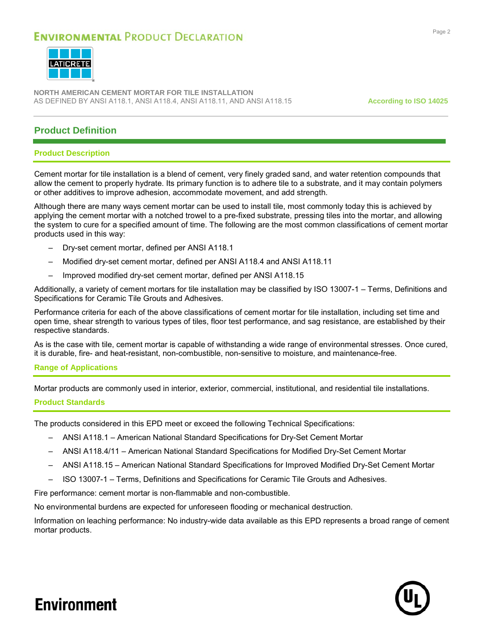

**NORTH AMERICAN CEMENT MORTAR FOR TILE INSTALLATION** AS DEFINED BY ANSI A118.1, ANSI A118.4, ANSI A118.11, AND ANSI A118.15 **According to ISO 14025**

### **Product Definition**

#### **Product Description**

Cement mortar for tile installation is a blend of cement, very finely graded sand, and water retention compounds that allow the cement to properly hydrate. Its primary function is to adhere tile to a substrate, and it may contain polymers or other additives to improve adhesion, accommodate movement, and add strength.

Although there are many ways cement mortar can be used to install tile, most commonly today this is achieved by applying the cement mortar with a notched trowel to a pre-fixed substrate, pressing tiles into the mortar, and allowing the system to cure for a specified amount of time. The following are the most common classifications of cement mortar products used in this way:

- Dry-set cement mortar, defined per ANSI A118.1
- Modified dry-set cement mortar, defined per ANSI A118.4 and ANSI A118.11
- Improved modified dry-set cement mortar, defined per ANSI A118.15

Additionally, a variety of cement mortars for tile installation may be classified by ISO 13007-1 – Terms, Definitions and Specifications for Ceramic Tile Grouts and Adhesives.

Performance criteria for each of the above classifications of cement mortar for tile installation, including set time and open time, shear strength to various types of tiles, floor test performance, and sag resistance, are established by their respective standards.

As is the case with tile, cement mortar is capable of withstanding a wide range of environmental stresses. Once cured, it is durable, fire- and heat-resistant, non-combustible, non-sensitive to moisture, and maintenance-free.

#### **Range of Applications**

Mortar products are commonly used in interior, exterior, commercial, institutional, and residential tile installations.

#### **Product Standards**

The products considered in this EPD meet or exceed the following Technical Specifications:

- ANSI A118.1 American National Standard Specifications for Dry-Set Cement Mortar
- ANSI A118.4/11 American National Standard Specifications for Modified Dry-Set Cement Mortar
- ANSI A118.15 American National Standard Specifications for Improved Modified Dry-Set Cement Mortar
- ISO 13007-1 Terms, Definitions and Specifications for Ceramic Tile Grouts and Adhesives.

Fire performance: cement mortar is non-flammable and non-combustible.

No environmental burdens are expected for unforeseen flooding or mechanical destruction.

Information on leaching performance: No industry-wide data available as this EPD represents a broad range of cement mortar products.

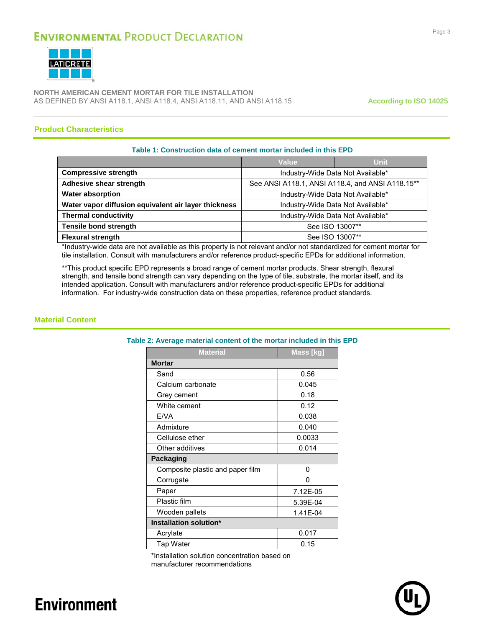

**NORTH AMERICAN CEMENT MORTAR FOR TILE INSTALLATION** AS DEFINED BY ANSI A118.1, ANSI A118.4, ANSI A118.11, AND ANSI A118.15 **According to ISO 14025**

#### **Product Characteristics**

#### **Table 1: Construction data of cement mortar included in this EPD**

|                                                      | Value                                            | <b>Unit</b> |  |  |
|------------------------------------------------------|--------------------------------------------------|-------------|--|--|
| <b>Compressive strength</b>                          | Industry-Wide Data Not Available*                |             |  |  |
| Adhesive shear strength                              | See ANSI A118.1, ANSI A118.4, and ANSI A118.15** |             |  |  |
| <b>Water absorption</b>                              | Industry-Wide Data Not Available*                |             |  |  |
| Water vapor diffusion equivalent air layer thickness | Industry-Wide Data Not Available*                |             |  |  |
| <b>Thermal conductivity</b>                          | Industry-Wide Data Not Available*                |             |  |  |
| <b>Tensile bond strength</b>                         | See ISO 13007**                                  |             |  |  |
| <b>Flexural strength</b>                             | See ISO 13007**                                  |             |  |  |

\*Industry-wide data are not available as this property is not relevant and/or not standardized for cement mortar for tile installation. Consult with manufacturers and/or reference product-specific EPDs for additional information.

\*\*This product specific EPD represents a broad range of cement mortar products. Shear strength, flexural strength, and tensile bond strength can vary depending on the type of tile, substrate, the mortar itself, and its intended application. Consult with manufacturers and/or reference product-specific EPDs for additional information. For industry-wide construction data on these properties, reference product standards.

#### **Material Content**

#### **Table 2: Average material content of the mortar included in this EPD**

| <b>Material</b>                  | Mass [kg] |  |  |  |  |  |
|----------------------------------|-----------|--|--|--|--|--|
| <b>Mortar</b>                    |           |  |  |  |  |  |
| Sand                             | 0.56      |  |  |  |  |  |
| Calcium carbonate                | 0.045     |  |  |  |  |  |
| Grey cement                      | 0.18      |  |  |  |  |  |
| White cement                     | 0.12      |  |  |  |  |  |
| E/VA                             | 0.038     |  |  |  |  |  |
| Admixture                        | 0.040     |  |  |  |  |  |
| Cellulose ether                  | 0.0033    |  |  |  |  |  |
| Other additives                  | 0.014     |  |  |  |  |  |
| Packaging                        |           |  |  |  |  |  |
| Composite plastic and paper film | 0         |  |  |  |  |  |
| Corrugate                        | O         |  |  |  |  |  |
| Paper                            | 7.12E-05  |  |  |  |  |  |
| Plastic film                     | 5.39E-04  |  |  |  |  |  |
| Wooden pallets                   | 1.41E-04  |  |  |  |  |  |
| Installation solution*           |           |  |  |  |  |  |
| Acrylate                         | 0.017     |  |  |  |  |  |
| Tap Water                        | 0.15      |  |  |  |  |  |

\*Installation solution concentration based on manufacturer recommendations

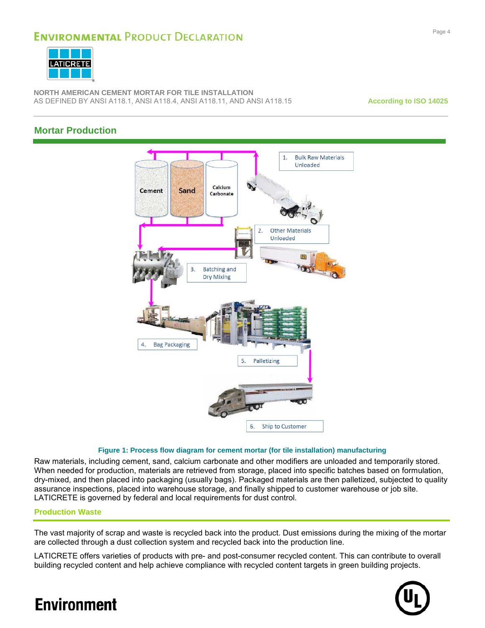

**NORTH AMERICAN CEMENT MORTAR FOR TILE INSTALLATION** AS DEFINED BY ANSI A118.1, ANSI A118.4, ANSI A118.11, AND ANSI A118.15 **According to ISO 14025**

### **Mortar Production**



#### **Figure 1: Process flow diagram for cement mortar (for tile installation) manufacturing**

Raw materials, including cement, sand, calcium carbonate and other modifiers are unloaded and temporarily stored. When needed for production, materials are retrieved from storage, placed into specific batches based on formulation, dry-mixed, and then placed into packaging (usually bags). Packaged materials are then palletized, subjected to quality assurance inspections, placed into warehouse storage, and finally shipped to customer warehouse or job site. LATICRETE is governed by federal and local requirements for dust control.

#### **Production Waste**

The vast majority of scrap and waste is recycled back into the product. Dust emissions during the mixing of the mortar are collected through a dust collection system and recycled back into the production line.

LATICRETE offers varieties of products with pre- and post-consumer recycled content. This can contribute to overall building recycled content and help achieve compliance with recycled content targets in green building projects.

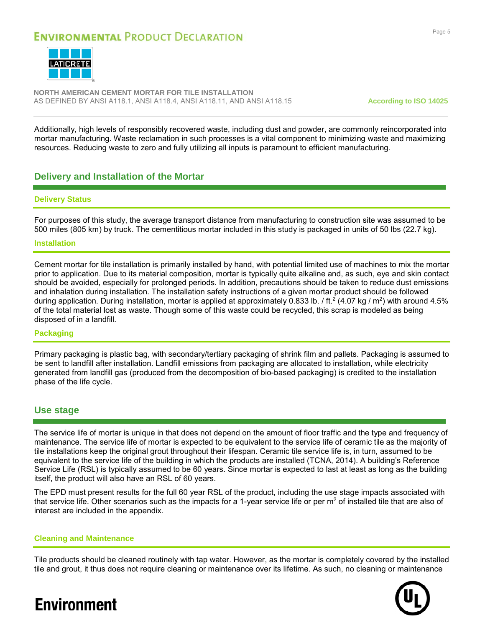

**NORTH AMERICAN CEMENT MORTAR FOR TILE INSTALLATION** AS DEFINED BY ANSI A118.1, ANSI A118.4, ANSI A118.11, AND ANSI A118.15 **According to ISO 14025**

Additionally, high levels of responsibly recovered waste, including dust and powder, are commonly reincorporated into mortar manufacturing. Waste reclamation in such processes is a vital component to minimizing waste and maximizing resources. Reducing waste to zero and fully utilizing all inputs is paramount to efficient manufacturing.

#### **Delivery and Installation of the Mortar**

#### **Delivery Status**

For purposes of this study, the average transport distance from manufacturing to construction site was assumed to be 500 miles (805 km) by truck. The cementitious mortar included in this study is packaged in units of 50 lbs (22.7 kg).

#### **Installation**

Cement mortar for tile installation is primarily installed by hand, with potential limited use of machines to mix the mortar prior to application. Due to its material composition, mortar is typically quite alkaline and, as such, eye and skin contact should be avoided, especially for prolonged periods. In addition, precautions should be taken to reduce dust emissions and inhalation during installation. The installation safety instructions of a given mortar product should be followed during application. During installation, mortar is applied at approximately 0.833 lb. / ft.<sup>2</sup> (4.07 kg / m<sup>2</sup>) with around 4.5% of the total material lost as waste. Though some of this waste could be recycled, this scrap is modeled as being disposed of in a landfill.

#### **Packaging**

Primary packaging is plastic bag, with secondary/tertiary packaging of shrink film and pallets. Packaging is assumed to be sent to landfill after installation. Landfill emissions from packaging are allocated to installation, while electricity generated from landfill gas (produced from the decomposition of bio-based packaging) is credited to the installation phase of the life cycle.

#### **Use stage**

The service life of mortar is unique in that does not depend on the amount of floor traffic and the type and frequency of maintenance. The service life of mortar is expected to be equivalent to the service life of ceramic tile as the majority of tile installations keep the original grout throughout their lifespan. Ceramic tile service life is, in turn, assumed to be equivalent to the service life of the building in which the products are installed (TCNA, 2014). A building's Reference Service Life (RSL) is typically assumed to be 60 years. Since mortar is expected to last at least as long as the building itself, the product will also have an RSL of 60 years.

The EPD must present results for the full 60 year RSL of the product, including the use stage impacts associated with that service life. Other scenarios such as the impacts for a 1-year service life or per  $m<sup>2</sup>$  of installed tile that are also of interest are included in the appendix.

#### **Cleaning and Maintenance**

Tile products should be cleaned routinely with tap water. However, as the mortar is completely covered by the installed tile and grout, it thus does not require cleaning or maintenance over its lifetime. As such, no cleaning or maintenance

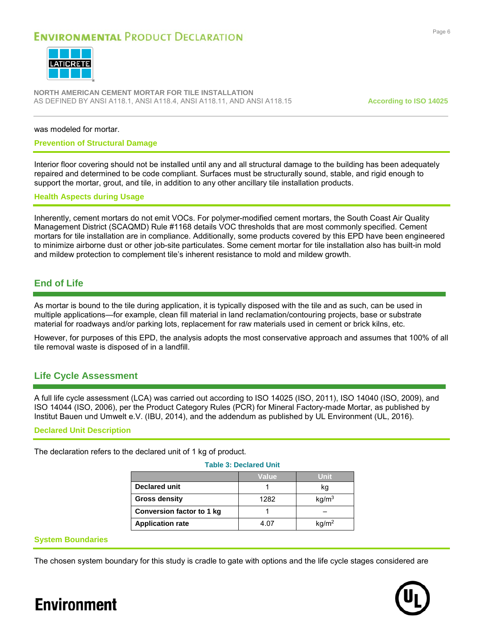

**NORTH AMERICAN CEMENT MORTAR FOR TILE INSTALLATION** AS DEFINED BY ANSI A118.1, ANSI A118.4, ANSI A118.11, AND ANSI A118.15 **According to ISO 14025**

was modeled for mortar.

#### **Prevention of Structural Damage**

Interior floor covering should not be installed until any and all structural damage to the building has been adequately repaired and determined to be code compliant. Surfaces must be structurally sound, stable, and rigid enough to support the mortar, grout, and tile, in addition to any other ancillary tile installation products.

#### **Health Aspects during Usage**

Inherently, cement mortars do not emit VOCs. For polymer-modified cement mortars, the South Coast Air Quality Management District (SCAQMD) Rule #1168 details VOC thresholds that are most commonly specified. Cement mortars for tile installation are in compliance. Additionally, some products covered by this EPD have been engineered to minimize airborne dust or other job-site particulates. Some cement mortar for tile installation also has built-in mold and mildew protection to complement tile's inherent resistance to mold and mildew growth.

#### **End of Life**

As mortar is bound to the tile during application, it is typically disposed with the tile and as such, can be used in multiple applications—for example, clean fill material in land reclamation/contouring projects, base or substrate material for roadways and/or parking lots, replacement for raw materials used in cement or brick kilns, etc.

However, for purposes of this EPD, the analysis adopts the most conservative approach and assumes that 100% of all tile removal waste is disposed of in a landfill.

#### **Life Cycle Assessment**

A full life cycle assessment (LCA) was carried out according to ISO 14025 (ISO, 2011), ISO 14040 (ISO, 2009), and ISO 14044 (ISO, 2006), per the Product Category Rules (PCR) for Mineral Factory-made Mortar, as published by Institut Bauen und Umwelt e.V. (IBU, 2014), and the addendum as published by UL Environment (UL, 2016).

#### **Declared Unit Description**

The declaration refers to the declared unit of 1 kg of product.

|                                  | Value | Unit              |  |  |  |  |  |
|----------------------------------|-------|-------------------|--|--|--|--|--|
| <b>Declared unit</b>             |       | kq                |  |  |  |  |  |
| <b>Gross density</b>             | 1282  | kg/m <sup>3</sup> |  |  |  |  |  |
| <b>Conversion factor to 1 kg</b> |       |                   |  |  |  |  |  |
| <b>Application rate</b>          | 4.07  | kg/m <sup>2</sup> |  |  |  |  |  |

**Table 3: Declared Unit**

#### **System Boundaries**

The chosen system boundary for this study is cradle to gate with options and the life cycle stages considered are

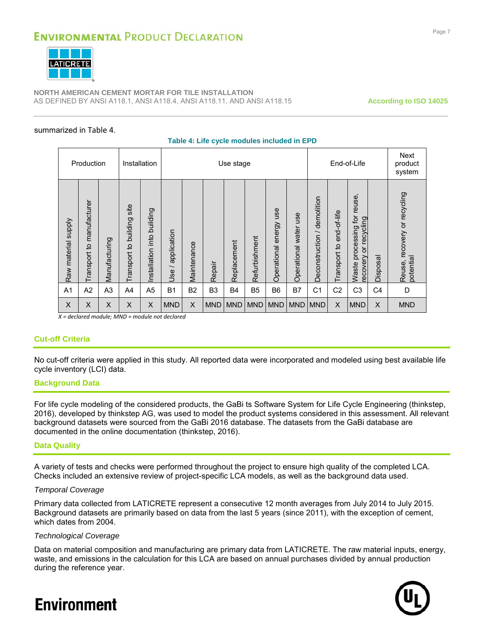

**NORTH AMERICAN CEMENT MORTAR FOR TILE INSTALLATION** AS DEFINED BY ANSI A118.1, ANSI A118.4, ANSI A118.11, AND ANSI A118.15 **According to ISO 14025**

#### <span id="page-7-0"></span>summarized in [Table 4](#page-7-0).

#### **Table 4: Life cycle modules included in EPD**

|                     | Production                |                | Installation                     |                               |                                                       |             |                | Use stage   |                |                           |                          |                                |                             | End-of-Life                                             |                | <b>Next</b><br>product<br>system             |
|---------------------|---------------------------|----------------|----------------------------------|-------------------------------|-------------------------------------------------------|-------------|----------------|-------------|----------------|---------------------------|--------------------------|--------------------------------|-----------------------------|---------------------------------------------------------|----------------|----------------------------------------------|
| Raw material supply | Transport to manufacturer | Manufacturing  | site<br>building<br>Transport to | building<br>Installation into | application<br>$\overline{\phantom{0}}$<br><b>Use</b> | Maintenance | Repair         | Replacement | Refurbishment  | use<br>Operational energy | water use<br>Operational | / demolition<br>Deconstruction | end-of-life<br>Transport to | Waste processing for reuse,<br>recycling<br>recovery or | Disposal       | recovery or recycling<br>potential<br>Reuse, |
| A <sub>1</sub>      | A2                        | A <sub>3</sub> | A4                               | A <sub>5</sub>                | <b>B1</b>                                             | <b>B2</b>   | B <sub>3</sub> | <b>B4</b>   | B <sub>5</sub> | B <sub>6</sub>            | B7                       | C <sub>1</sub>                 | C <sub>2</sub>              | C <sub>3</sub>                                          | C <sub>4</sub> | D                                            |
| $\pmb{\mathsf{X}}$  | X                         | X              | X                                | X                             | <b>MND</b>                                            | X           | <b>MND</b>     | <b>MND</b>  | <b>MND</b>     | <b>MND</b>                | <b>MND</b>               | <b>MND</b>                     | X                           | <b>MND</b>                                              | X              | <b>MND</b>                                   |

*X = declared module; MND = module not declared*

#### **Cut-off Criteria**

No cut-off criteria were applied in this study. All reported data were incorporated and modeled using best available life cycle inventory (LCI) data.

#### **Background Data**

For life cycle modeling of the considered products, the GaBi ts Software System for Life Cycle Engineering (thinkstep, 2016), developed by thinkstep AG, was used to model the product systems considered in this assessment. All relevant background datasets were sourced from the GaBi 2016 database. The datasets from the GaBi database are documented in the online documentation (thinkstep, 2016).

#### **Data Quality**

A variety of tests and checks were performed throughout the project to ensure high quality of the completed LCA. Checks included an extensive review of project-specific LCA models, as well as the background data used.

#### *Temporal Coverage*

Primary data collected from LATICRETE represent a consecutive 12 month averages from July 2014 to July 2015. Background datasets are primarily based on data from the last 5 years (since 2011), with the exception of cement, which dates from 2004.

#### *Technological Coverage*

Data on material composition and manufacturing are primary data from LATICRETE. The raw material inputs, energy, waste, and emissions in the calculation for this LCA are based on annual purchases divided by annual production during the reference year.

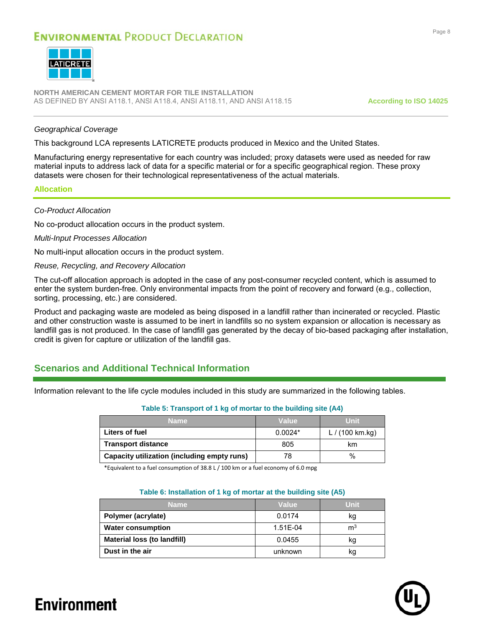

**NORTH AMERICAN CEMENT MORTAR FOR TILE INSTALLATION** AS DEFINED BY ANSI A118.1, ANSI A118.4, ANSI A118.11, AND ANSI A118.15 **According to ISO 14025**

#### *Geographical Coverage*

This background LCA represents LATICRETE products produced in Mexico and the United States.

Manufacturing energy representative for each country was included; proxy datasets were used as needed for raw material inputs to address lack of data for a specific material or for a specific geographical region. These proxy datasets were chosen for their technological representativeness of the actual materials.

#### **Allocation**

#### *Co-Product Allocation*

No co-product allocation occurs in the product system.

#### *Multi-Input Processes Allocation*

No multi-input allocation occurs in the product system.

#### *Reuse, Recycling, and Recovery Allocation*

The cut-off allocation approach is adopted in the case of any post-consumer recycled content, which is assumed to enter the system burden-free. Only environmental impacts from the point of recovery and forward (e.g., collection, sorting, processing, etc.) are considered.

Product and packaging waste are modeled as being disposed in a landfill rather than incinerated or recycled. Plastic and other construction waste is assumed to be inert in landfills so no system expansion or allocation is necessary as landfill gas is not produced. In the case of landfill gas generated by the decay of bio-based packaging after installation, credit is given for capture or utilization of the landfill gas.

#### **Scenarios and Additional Technical Information**

Information relevant to the life cycle modules included in this study are summarized in the following tables.

|                                             | $\sim$ 0.000 $\sim$ 0.000 $\sim$ 0.000 $\sim$ 0.000 $\sim$ 0.000 0.000 0.000 0.000 0.000 0.000 0.000 0.000 |                           |  |  |  |  |  |  |  |
|---------------------------------------------|------------------------------------------------------------------------------------------------------------|---------------------------|--|--|--|--|--|--|--|
| <b>Name</b>                                 | Value                                                                                                      | <b>Unit</b>               |  |  |  |  |  |  |  |
| Liters of fuel                              | $0.0024*$                                                                                                  | L / $(100 \text{ km.kg})$ |  |  |  |  |  |  |  |
| <b>Transport distance</b>                   | 805                                                                                                        | km                        |  |  |  |  |  |  |  |
| Capacity utilization (including empty runs) | 78                                                                                                         | $\%$                      |  |  |  |  |  |  |  |

#### **Table 5: Transport of 1 kg of mortar to the building site (A4)**

\*Equivalent to a fuel consumption of 38.8 L / 100 km or a fuel economy of 6.0 mpg

#### **Table 6: Installation of 1 kg of mortar at the building site (A5)**

| <b>Name</b>                 | Value    | Unit           |
|-----------------------------|----------|----------------|
| Polymer (acrylate)          | 0.0174   | kg             |
| <b>Water consumption</b>    | 1.51E-04 | m <sup>3</sup> |
| Material loss (to landfill) | 0.0455   | kg             |
| Dust in the air             | unknown  | κg             |

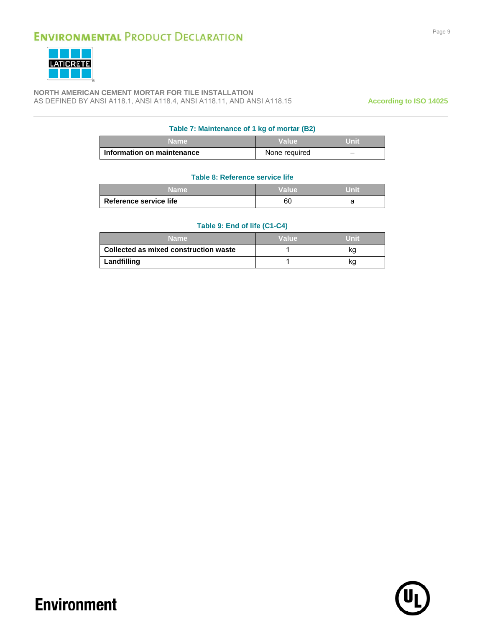

**NORTH AMERICAN CEMENT MORTAR FOR TILE INSTALLATION** AS DEFINED BY ANSI A118.1, ANSI A118.4, ANSI A118.11, AND ANSI A118.15 **According to ISO 14025**

#### **Table 7: Maintenance of 1 kg of mortar (B2)**

| Name                                | Value         | Unit |
|-------------------------------------|---------------|------|
| <b>∣ Information on maintenance</b> | None required | -    |

#### **Table 8: Reference service life**

| Name                   | Value | Unii. |
|------------------------|-------|-------|
| Reference service life | 60    |       |

#### **Table 9: End of life (C1-C4)**

| Name i                                | Value | Unit |
|---------------------------------------|-------|------|
| Collected as mixed construction waste |       | κg   |
| Landfilling                           |       | kg   |

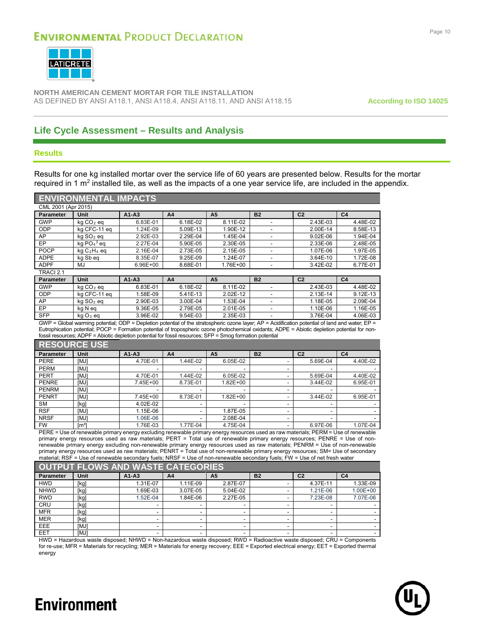

**NORTH AMERICAN CEMENT MORTAR FOR TILE INSTALLATION** AS DEFINED BY ANSI A118.1, ANSI A118.4, ANSI A118.11, AND ANSI A118.15 **According to ISO 14025**

### **Life Cycle Assessment – Results and Analysis**

#### **Results**

Results for one kg installed mortar over the service life of 60 years are presented below. Results for the mortar required in 1 m<sup>2</sup> installed tile, as well as the impacts of a one year service life, are included in the appendix.

|                                                                                                                                                                                                                                                                                                                                                                                                                 | <b>ENVIRONMENTAL IMPACTS</b> |                     |                     |                |                |                |                |  |  |
|-----------------------------------------------------------------------------------------------------------------------------------------------------------------------------------------------------------------------------------------------------------------------------------------------------------------------------------------------------------------------------------------------------------------|------------------------------|---------------------|---------------------|----------------|----------------|----------------|----------------|--|--|
| CML 2001 (Apr 2015)                                                                                                                                                                                                                                                                                                                                                                                             |                              |                     |                     |                |                |                |                |  |  |
| <b>Parameter</b>                                                                                                                                                                                                                                                                                                                                                                                                | Unit                         | $A1 - A3$           | A <sub>4</sub>      | A <sub>5</sub> | <b>B2</b>      | C <sub>2</sub> | C <sub>4</sub> |  |  |
| <b>GWP</b>                                                                                                                                                                                                                                                                                                                                                                                                      | $kq CO2$ eq                  | 6.83E-01            | 6.18E-02            | 8.11E-02       |                | 2.43E-03       | 4.48E-02       |  |  |
| <b>ODP</b>                                                                                                                                                                                                                                                                                                                                                                                                      | kg CFC-11 eq                 | 1.24E-09            | 5.09E-13            | 1.90E-12       |                | 2.00E-14       | 8.58E-13       |  |  |
| AP                                                                                                                                                                                                                                                                                                                                                                                                              | kg SO <sub>2</sub> eg        | 2.92E-03            | 2.29E-04            | 1.45E-04       |                | 9.02E-06       | 1.94E-04       |  |  |
| EP                                                                                                                                                                                                                                                                                                                                                                                                              | kg $PO43$ eq                 | 2.27E-04            | 5.90E-05            | 2.30E-05       |                | 2.33E-06       | 2.48E-05       |  |  |
| POCP                                                                                                                                                                                                                                                                                                                                                                                                            | $kqC_2H_4$ eq                | 2.16E-04            | 2.73E-05            | 2.15E-05       | ä,             | 1.07E-06       | 1.97E-05       |  |  |
| <b>ADPE</b>                                                                                                                                                                                                                                                                                                                                                                                                     | kg Sb eq                     | 8.35E-07            | 9.25E-09            | 1.24E-07       | ÷.             | 3.64E-10       | 1.72E-08       |  |  |
| <b>ADPF</b>                                                                                                                                                                                                                                                                                                                                                                                                     | MJ                           | 6.96E+00            | 8.68E-01            | 1.76E+00       | L,             | 3.42E-02       | 6.77E-01       |  |  |
| TRACI 2.1                                                                                                                                                                                                                                                                                                                                                                                                       |                              |                     |                     |                |                |                |                |  |  |
| <b>Parameter</b>                                                                                                                                                                                                                                                                                                                                                                                                | Unit                         | $A1 - A3$           | A <sub>4</sub>      | A <sub>5</sub> | <b>B2</b>      | C <sub>2</sub> | C <sub>4</sub> |  |  |
| <b>GWP</b>                                                                                                                                                                                                                                                                                                                                                                                                      | $kq CO2$ eq                  | 6.83E-01            | 6.18E-02            | 8.11E-02       |                | 2.43E-03       | 4.48E-02       |  |  |
| ODP                                                                                                                                                                                                                                                                                                                                                                                                             | kg CFC-11 eg                 | 1.58E-09            | 5.41E-13            | 2.02E-12       |                | 2.13E-14       | 9.12E-13       |  |  |
| AP                                                                                                                                                                                                                                                                                                                                                                                                              | $kq$ SO <sub>2</sub> eq      | 2.90E-03            | 3.00E-04            | 1.53E-04       | $\overline{a}$ | 1.18E-05       | 2.09E-04       |  |  |
| EP                                                                                                                                                                                                                                                                                                                                                                                                              | kg N eq                      | 9.36E-05            | 2.79E-05            | 2.01E-05       |                | 1.10E-06       | 1.16E-05       |  |  |
| <b>SFP</b>                                                                                                                                                                                                                                                                                                                                                                                                      | $kgO3$ eq                    | 3.96E-02            | 9.54E-03            | 2.35E-03       | ÷.             | 3.76E-04       | 4.06E-03       |  |  |
| GWP = Global warming potential; ODP = Depletion potential of the stratospheric ozone layer; AP = Acidification potential of land and water; EP =<br>Eutrophication potential; POCP = Formation potential of tropospheric ozone photochemical oxidants; ADPE = Abiotic depletion potential for non-<br>fossil resources; ADPF = Abiotic depletion potential for fossil resources; SFP = Smoq formation potential |                              |                     |                     |                |                |                |                |  |  |
|                                                                                                                                                                                                                                                                                                                                                                                                                 | <b>RESOURCE USE</b>          |                     |                     |                |                |                |                |  |  |
| <b>Parameter</b>                                                                                                                                                                                                                                                                                                                                                                                                | Unit                         | $A1 - A3$           | A <sub>4</sub>      | A <sub>5</sub> | <b>B2</b>      | C <sub>2</sub> | C <sub>4</sub> |  |  |
| <b>PERE</b>                                                                                                                                                                                                                                                                                                                                                                                                     | [MJ]                         | 4.70E-01            | 1.44E-02            | 6.05E-02       |                | 5.69E-04       | 4.40E-02       |  |  |
| <b>PERM</b>                                                                                                                                                                                                                                                                                                                                                                                                     | [MJ]                         |                     |                     |                |                |                |                |  |  |
| <b>DEDT</b>                                                                                                                                                                                                                                                                                                                                                                                                     | <b>FR 4 13</b>               | 4.70F <sub>04</sub> | $4.44 \text{ F}$ 00 | C              |                | $F$ COF 0.4    | $4.40F$ 00     |  |  |

| PERT         | <b>IMJ1</b>   | 4.70E-01 | 1.44E-02 | 6.05E-02     | 5.69E-04     | 4.40E-02 |
|--------------|---------------|----------|----------|--------------|--------------|----------|
| <b>PENRE</b> | <b>IMJI</b>   | 7.45E+00 | 8.73E-01 | $1.82E + 00$ | $3.44E - 02$ | 6.95E-01 |
| <b>PENRM</b> | <b>IMJ1</b>   |          |          |              |              |          |
| <b>PENRT</b> | [MJ]          | 7.45E+00 | 8.73E-01 | $1.82E + 00$ | 3.44E-02     | 6.95E-01 |
| <b>SM</b>    | [kg]          | 4.02E-02 |          |              |              |          |
| <b>RSF</b>   | [MJ]          | 1.15E-06 |          | 1.87E-05     |              |          |
| <b>NRSF</b>  | [MJ]          | 1.06E-06 |          | 2.08E-04     |              |          |
| <b>FW</b>    | $\text{Im}^3$ | 1.76E-03 | 1.77E-04 | 4.75E-04     | 6.97E-06     | 1.07E-04 |

PERE = Use of renewable primary energy excluding renewable primary energy resources used as raw materials; PERM = Use of renewable primary energy resources used as raw materials; PERT = Total use of renewable primary energy resources; PENRE = Use of nonrenewable primary energy excluding non-renewable primary energy resources used as raw materials; PENRM = Use of non-renewable primary energy resources used as raw materials; PENRT = Total use of non-renewable primary energy resources; SM= Use of secondary material; RSF = Use of renewable secondary fuels; NRSF = Use of non-renewable secondary fuels; FW = Use of net fresh water

| OUTPUT FLOWS AND WASTE CATEGORIES |             |          |          |                |           |                |                |
|-----------------------------------|-------------|----------|----------|----------------|-----------|----------------|----------------|
| <b>Parameter</b>                  | Unit        | $A1-A3$  | A4       | A <sub>5</sub> | <b>B2</b> | C <sub>2</sub> | C <sub>4</sub> |
| <b>HWD</b>                        | [kg]        | 1.31E-07 | 1.11E-09 | 2.87E-07       | -         | 4.37E-11       | 1.33E-09       |
| <b>NHWD</b>                       | [kg]        | 1.69E-03 | 3.07E-05 | 5.04E-02       | ۰         | 1.21E-06       | $1.00E + 00$   |
| <b>RWD</b>                        | [kg]        | .52E-04  | 1.84E-06 | 2.27E-05       | ۰         | 7.23E-08       | 7.07E-06       |
| CRU                               | [kg]        |          | ۰.       |                | $\sim$    |                |                |
| <b>MFR</b>                        | [kg]        |          | ۰.       |                | ۰         |                |                |
| <b>MER</b>                        | [kg]        |          |          |                | -         |                |                |
| EEE                               | <b>IMJ1</b> |          |          | -              | ۰.        |                |                |
| EET                               | [MJ]        |          |          |                | ۰         |                |                |

HWD = Hazardous waste disposed; NHWD = Non-hazardous waste disposed; RWD = Radioactive waste disposed; CRU = Components for re-use; MFR = Materials for recycling; MER = Materials for energy recovery; EEE = Exported electrical energy; EET = Exported thermal energy

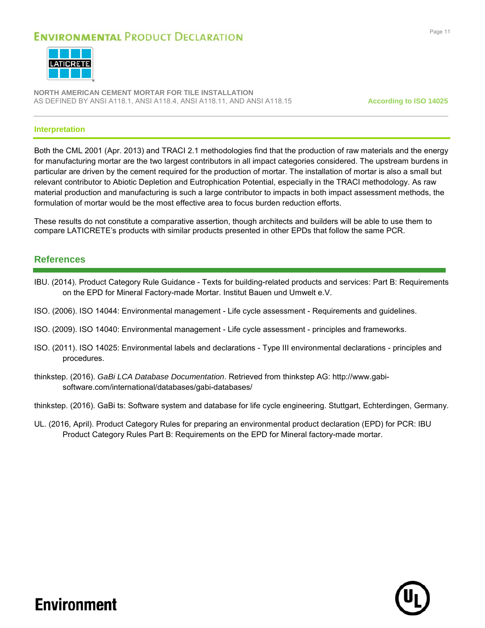

**NORTH AMERICAN CEMENT MORTAR FOR TILE INSTALLATION** AS DEFINED BY ANSI A118.1, ANSI A118.4, ANSI A118.11, AND ANSI A118.15 **According to ISO 14025**

#### **Interpretation**

Both the CML 2001 (Apr. 2013) and TRACI 2.1 methodologies find that the production of raw materials and the energy for manufacturing mortar are the two largest contributors in all impact categories considered. The upstream burdens in particular are driven by the cement required for the production of mortar. The installation of mortar is also a small but relevant contributor to Abiotic Depletion and Eutrophication Potential, especially in the TRACI methodology. As raw material production and manufacturing is such a large contributor to impacts in both impact assessment methods, the formulation of mortar would be the most effective area to focus burden reduction efforts.

These results do not constitute a comparative assertion, though architects and builders will be able to use them to compare LATICRETE's products with similar products presented in other EPDs that follow the same PCR.

#### **References**

- IBU. (2014). Product Category Rule Guidance Texts for building-related products and services: Part B: Requirements on the EPD for Mineral Factory-made Mortar. Institut Bauen und Umwelt e.V.
- ISO. (2006). ISO 14044: Environmental management Life cycle assessment Requirements and guidelines.
- ISO. (2009). ISO 14040: Environmental management Life cycle assessment principles and frameworks.
- ISO. (2011). ISO 14025: Environmental labels and declarations Type III environmental declarations principles and procedures.
- thinkstep. (2016). *GaBi LCA Database Documentation*. Retrieved from thinkstep AG: http://www.gabisoftware.com/international/databases/gabi-databases/

thinkstep. (2016). GaBi ts: Software system and database for life cycle engineering. Stuttgart, Echterdingen, Germany.

UL. (2016, April). Product Category Rules for preparing an environmental product declaration (EPD) for PCR: IBU Product Category Rules Part B: Requirements on the EPD for Mineral factory-made mortar.

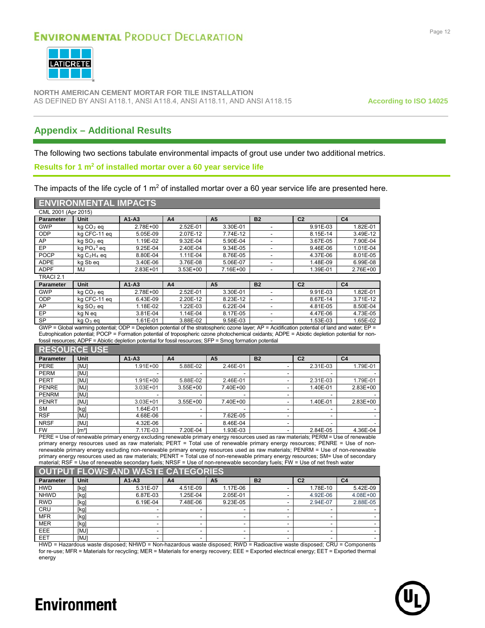

**NORTH AMERICAN CEMENT MORTAR FOR TILE INSTALLATION** AS DEFINED BY ANSI A118.1, ANSI A118.4, ANSI A118.11, AND ANSI A118.15 **According to ISO 14025**

### **Appendix – Additional Results**

The following two sections tabulate environmental impacts of grout use under two additional metrics.

#### **Results for 1 m<sup>2</sup> of installed mortar over a 60 year service life**

The impacts of the life cycle of 1  $m<sup>2</sup>$  of installed mortar over a 60 year service life are presented here.

#### **ENVIRONMENTAL IMPACTS**

| CML 2001 (Apr 2015) |                       |           |              |                |           |                |                |  |
|---------------------|-----------------------|-----------|--------------|----------------|-----------|----------------|----------------|--|
| <b>Parameter</b>    | Unit                  | $A1 - A3$ | A4           | A <sub>5</sub> | <b>B2</b> | C <sub>2</sub> | C <sub>4</sub> |  |
| <b>GWP</b>          | $kq CO2$ eq           | 2.78E+00  | 2.52E-01     | 3.30E-01       |           | 9.91E-03       | 1.82E-01       |  |
| <b>ODP</b>          | kg CFC-11 eg          | 5.05E-09  | 2.07E-12     | 7.74E-12       |           | 8.15E-14       | 3.49E-12       |  |
| AP                  | kg SO <sub>2</sub> eg | 1.19E-02  | 9.32E-04     | 5.90E-04       |           | 3.67E-05       | 7.90E-04       |  |
| EP                  | kg $PO43$ eg          | 9.25E-04  | 2.40E-04     | 9.34E-05       |           | 9.46E-06       | 1.01E-04       |  |
| <b>POCP</b>         | $kqC_2H_4$ eq         | 8.80E-04  | 1.11E-04     | 8.76E-05       |           | 4.37E-06       | 8.01E-05       |  |
| <b>ADPE</b>         | kg Sb eg              | 3.40E-06  | 3.76E-08     | 5.06E-07       |           | 1.48E-09       | 6.99E-08       |  |
| <b>ADPF</b>         | MJ                    | 2.83E+01  | $3.53E + 00$ | 7.16E+00       |           | 1.39E-01       | 2.76E+00       |  |
| TRACI 2.1           |                       |           |              |                |           |                |                |  |
| <b>Parameter</b>    | Unit                  | $A1 - A3$ | A4           | A <sub>5</sub> | <b>B2</b> | C <sub>2</sub> | C <sub>4</sub> |  |
| <b>GWP</b>          | $kq CO2$ eq           | 2.78E+00  | 2.52E-01     | 3.30E-01       |           | 9.91E-03       | 1.82E-01       |  |
| <b>ODP</b>          | kg CFC-11 eg          | 6.43E-09  | 2.20E-12     | 8.23E-12       |           | 8.67E-14       | 3.71E-12       |  |
|                     |                       |           |              |                |           |                |                |  |

EP kg N eq 3.81E-04 1.14E-04 8.17E-05 - 4.47E-06 4.73E-05 SP | kg O $_3$  eq | 1.61E-01 | 3.88E-02 | 9.58E-03 | - | 1.53E-03 | 1.65E-02 GWP = Global warming potential; ODP = Depletion potential of the stratospheric ozone layer; AP = Acidification potential of land and water; EP = Eutrophication potential; POCP = Formation potential of tropospheric ozone photochemical oxidants; ADPE = Abiotic depletion potential for non-

AP | kg SO<sub>2</sub> eq | 1.18E-02 | 1.22E-03 | 6.22E-04 | - | 4.81E-05 | 8.50E-04

fossil resources; ADPF = Abiotic depletion potential for fossil resources; SFP = Smog formation potential

#### **RESOURCE USE Parameter Unit A1-A3 A4 A5 B2 C2 C4** PERE [MJ] 1.91E+00 5.88E-02 2.46E-01 - 2.31E-03 1.79E-01 PERM |[MJ] | -| -| -| -| -| -| PERT | [MJ] | 1.91E+00 | 5.88E-02 | 2.46E-01 | - | 2.31E-03 | 1.79E-01 PENRE | [MJ] | 3.03E+01 | 3.55E+00 | 7.40E+00 | - | 1.40E-01 | 2.83E+00 PENRM [MJ] - - - - - - PENRT | [MJ] 3.03E+01 | 3.55E+00 | 7.40E+00 | - | 1.40E-01 | 2.83E+00 SM | [kg] | 1.64E-01 | - | - | - | - | - | - | RSF [MJ] 4.68E-06 - 7.62E-05 - - - NRSF [MJ] 4.32E-06 - 8.46E-04 - - - FW | [mª] | 7.17E-03 | 7.20E-04 | 1.93E-03 | - | 2.84E-05 | 4.36E-04

PERE = Use of renewable primary energy excluding renewable primary energy resources used as raw materials; PERM = Use of renewable primary energy resources used as raw materials; PERT = Total use of renewable primary energy resources; PENRE = Use of nonrenewable primary energy excluding non-renewable primary energy resources used as raw materials; PENRM = Use of non-renewable primary energy resources used as raw materials; PENRT = Total use of non-renewable primary energy resources; SM= Use of secondary material; RSF = Use of renewable secondary fuels; NRSF = Use of non-renewable secondary fuels; FW = Use of net fresh water

| <b>OUTPUT FLOWS AND WASTE CATEGORIES</b> |            |          |                |          |           |                |                |  |
|------------------------------------------|------------|----------|----------------|----------|-----------|----------------|----------------|--|
| <b>Parameter</b>                         | Unit       | $A1-A3$  | A <sub>4</sub> | A5       | <b>B2</b> | C <sub>2</sub> | C <sub>4</sub> |  |
| <b>HWD</b>                               | [kg]       | 5.31E-07 | 4.51E-09       | 1.17E-06 |           | 1.78E-10       | 5.42E-09       |  |
| <b>NHWD</b>                              | [kg]       | 6.87E-03 | 1.25E-04       | 2.05E-01 |           | 4.92E-06       | 4.08E+00       |  |
| <b>RWD</b>                               | [kg]       | 6.19E-04 | 7.48E-06       | 9.23E-05 |           | 2.94E-07       | 2.88E-05       |  |
| <b>CRU</b>                               | [kg]       |          |                |          |           |                |                |  |
| <b>MFR</b>                               | [kg]       |          | -              |          |           |                |                |  |
| <b>MER</b>                               | [kg]       |          | ۰              |          |           |                |                |  |
| <b>EEE</b>                               | <b>IMJ</b> |          | ۰              |          |           |                |                |  |
| <b>EET</b>                               | [MJ]       |          | ۰              |          |           |                |                |  |

HWD = Hazardous waste disposed; NHWD = Non-hazardous waste disposed; RWD = Radioactive waste disposed; CRU = Components for re-use; MFR = Materials for recycling; MER = Materials for energy recovery; EEE = Exported electrical energy; EET = Exported thermal energy